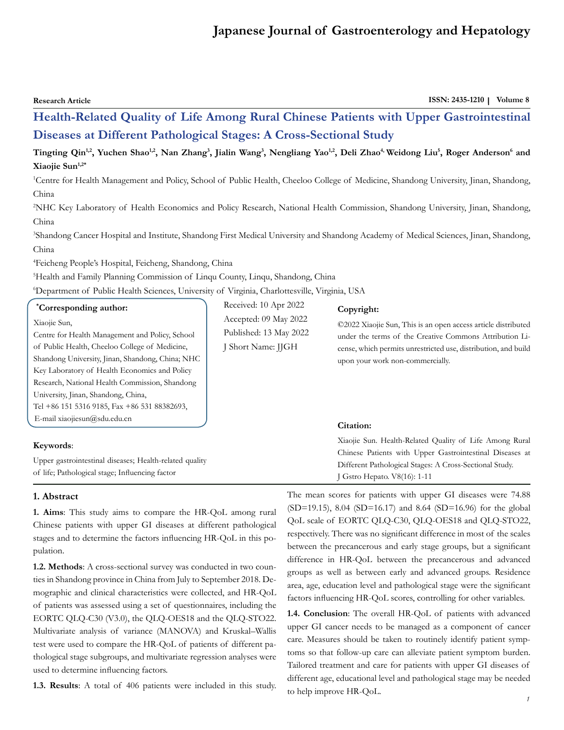# **Japanese Journal of Gastroenterology and Hepatology**

| <b>Research Article</b>                                                                                                                                                                                                                                                                                                                                                                          |                                                                                                | ISSN: 2435-1210   Volume 8                                                                                                                                                                                                                                                                                                                                                                                                                                                                                                                                                                                                                                                               |
|--------------------------------------------------------------------------------------------------------------------------------------------------------------------------------------------------------------------------------------------------------------------------------------------------------------------------------------------------------------------------------------------------|------------------------------------------------------------------------------------------------|------------------------------------------------------------------------------------------------------------------------------------------------------------------------------------------------------------------------------------------------------------------------------------------------------------------------------------------------------------------------------------------------------------------------------------------------------------------------------------------------------------------------------------------------------------------------------------------------------------------------------------------------------------------------------------------|
|                                                                                                                                                                                                                                                                                                                                                                                                  |                                                                                                | Health-Related Quality of Life Among Rural Chinese Patients with Upper Gastrointestinal                                                                                                                                                                                                                                                                                                                                                                                                                                                                                                                                                                                                  |
| Diseases at Different Pathological Stages: A Cross-Sectional Study                                                                                                                                                                                                                                                                                                                               |                                                                                                |                                                                                                                                                                                                                                                                                                                                                                                                                                                                                                                                                                                                                                                                                          |
| Xiaojie Sun <sup>1,2*</sup><br>China<br>China                                                                                                                                                                                                                                                                                                                                                    |                                                                                                | Tingting Qin <sup>1,2</sup> , Yuchen Shao <sup>1,2</sup> , Nan Zhang <sup>3</sup> , Jialin Wang <sup>3</sup> , Nengliang Yao <sup>1,2</sup> , Deli Zhao <sup>4,</sup> Weidong Liu <sup>5</sup> , Roger Anderson <sup>6</sup> and<br><sup>1</sup> Centre for Health Management and Policy, School of Public Health, Cheeloo College of Medicine, Shandong University, Jinan, Shandong,<br><sup>2</sup> NHC Key Laboratory of Health Economics and Policy Research, National Health Commission, Shandong University, Jinan, Shandong,<br><sup>3</sup> Shandong Cancer Hospital and Institute, Shandong First Medical University and Shandong Academy of Medical Sciences, Jinan, Shandong, |
| China<br><sup>4</sup> Feicheng People's Hospital, Feicheng, Shandong, China<br><sup>5</sup> Health and Family Planning Commission of Linqu County, Linqu, Shandong, China<br><sup>6</sup> Department of Public Health Sciences, University of Virginia, Charlottesville, Virginia, USA                                                                                                           |                                                                                                |                                                                                                                                                                                                                                                                                                                                                                                                                                                                                                                                                                                                                                                                                          |
| <i>*Corresponding author:</i><br>Xiaojie Sun,<br>Centre for Health Management and Policy, School<br>of Public Health, Cheeloo College of Medicine,<br>Shandong University, Jinan, Shandong, China; NHC<br>Key Laboratory of Health Economics and Policy<br>Research, National Health Commission, Shandong<br>University, Jinan, Shandong, China,<br>Tel +86 151 5316 9185, Fax +86 531 88382693, | Received: 10 Apr 2022<br>Accepted: 09 May 2022<br>Published: 13 May 2022<br>J Short Name: JJGH | Copyright:<br>©2022 Xiaojie Sun, This is an open access article distributed<br>under the terms of the Creative Commons Attribution Li-<br>cense, which permits unrestricted use, distribution, and build<br>upon your work non-commercially.                                                                                                                                                                                                                                                                                                                                                                                                                                             |

## **Keywords**:

E-mail [xiaojiesun@sdu.edu.cn](mailto:xiaojiesun@sdu.edu.cn)

Upper gastrointestinal diseases; Health-related quality of life; Pathological stage; Influencing factor

#### **1. Abstract**

**1. Aims**: This study aims to compare the HR-QoL among rural Chinese patients with upper GI diseases at different pathological stages and to determine the factors influencing HR-QoL in this population.

**1.2. Methods**: A cross-sectional survey was conducted in two counties in Shandong province in China from July to September 2018. Demographic and clinical characteristics were collected, and HR-QoL of patients was assessed using a set of questionnaires, including the EORTC QLQ-C30 (V3.0), the QLQ-OES18 and the QLQ-STO22. Multivariate analysis of variance (MANOVA) and Kruskal–Wallis test were used to compare the HR-QoL of patients of different pathological stage subgroups, and multivariate regression analyses were used to determine influencing factors.

**1.3. Results**: A total of 406 patients were included in this study.

Xiaojie Sun. Health-Related Quality of Life Among Rural Chinese Patients with Upper Gastrointestinal Diseases at Different Pathological Stages: A Cross-Sectional Study.

**Citation:** 

J Gstro Hepato. V8(16): 1-11

The mean scores for patients with upper GI diseases were 74.88 (SD=19.15), 8.04 (SD=16.17) and 8.64 (SD=16.96) for the global QoL scale of EORTC QLQ-C30, QLQ-OES18 and QLQ-STO22, respectively. There was no significant difference in most of the scales between the precancerous and early stage groups, but a significant difference in HR-QoL between the precancerous and advanced groups as well as between early and advanced groups. Residence area, age, education level and pathological stage were the significant factors influencing HR-QoL scores, controlling for other variables.

**1.4. Conclusion**: The overall HR-QoL of patients with advanced upper GI cancer needs to be managed as a component of cancer care. Measures should be taken to routinely identify patient symptoms so that follow-up care can alleviate patient symptom burden. Tailored treatment and care for patients with upper GI diseases of different age, educational level and pathological stage may be needed to help improve HR-QoL.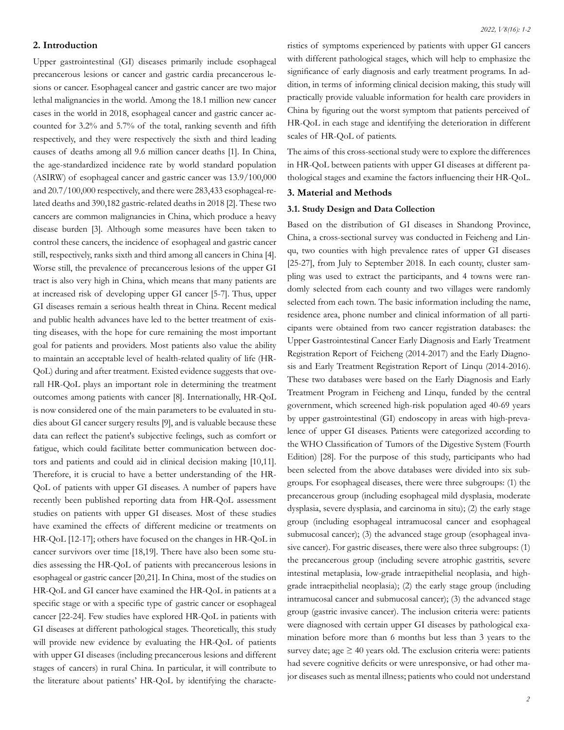## **2. Introduction**

Upper gastrointestinal (GI) diseases primarily include esophageal precancerous lesions or cancer and gastric cardia precancerous lesions or cancer. Esophageal cancer and gastric cancer are two major lethal malignancies in the world. Among the 18.1 million new cancer cases in the world in 2018, esophageal cancer and gastric cancer accounted for 3.2% and 5.7% of the total, ranking seventh and fifth respectively, and they were respectively the sixth and third leading causes of deaths among all 9.6 million cancer deaths [1]. In China, the age-standardized incidence rate by world standard population (ASIRW) of esophageal cancer and gastric cancer was 13.9/100,000 and 20.7/100,000 respectively, and there were 283,433 esophageal-related deaths and 390,182 gastric-related deaths in 2018 [2]. These two cancers are common malignancies in China, which produce a heavy disease burden [3]. Although some measures have been taken to control these cancers, the incidence of esophageal and gastric cancer still, respectively, ranks sixth and third among all cancers in China [4]. Worse still, the prevalence of precancerous lesions of the upper GI tract is also very high in China, which means that many patients are at increased risk of developing upper GI cancer [5-7]. Thus, upper GI diseases remain a serious health threat in China. Recent medical and public health advances have led to the better treatment of existing diseases, with the hope for cure remaining the most important goal for patients and providers. Most patients also value the ability to maintain an acceptable level of health-related quality of life (HR-QoL) during and after treatment. Existed evidence suggests that overall HR-QoL plays an important role in determining the treatment outcomes among patients with cancer [8]. Internationally, HR-QoL is now considered one of the main parameters to be evaluated in studies about GI cancer surgery results [9], and is valuable because these data can reflect the patient's subjective feelings, such as comfort or fatigue, which could facilitate better communication between doctors and patients and could aid in clinical decision making [10,11]. Therefore, it is crucial to have a better understanding of the HR-QoL of patients with upper GI diseases. A number of papers have recently been published reporting data from HR-QoL assessment studies on patients with upper GI diseases. Most of these studies have examined the effects of different medicine or treatments on HR-QoL [12-17]; others have focused on the changes in HR-QoL in cancer survivors over time [18,19]. There have also been some studies assessing the HR-QoL of patients with precancerous lesions in esophageal or gastric cancer [20,21]. In China, most of the studies on HR-QoL and GI cancer have examined the HR-QoL in patients at a specific stage or with a specific type of gastric cancer or esophageal cancer [22-24]. Few studies have explored HR-QoL in patients with GI diseases at different pathological stages. Theoretically, this study will provide new evidence by evaluating the HR-QoL of patients with upper GI diseases (including precancerous lesions and different stages of cancers) in rural China. In particular, it will contribute to the literature about patients' HR-QoL by identifying the characteristics of symptoms experienced by patients with upper GI cancers with different pathological stages, which will help to emphasize the significance of early diagnosis and early treatment programs. In addition, in terms of informing clinical decision making, this study will practically provide valuable information for health care providers in China by figuring out the worst symptom that patients perceived of HR-QoL in each stage and identifying the deterioration in different scales of HR-QoL of patients.

The aims of this cross-sectional study were to explore the differences in HR-QoL between patients with upper GI diseases at different pathological stages and examine the factors influencing their HR-QoL.

## **3. Material and Methods**

#### **3.1. Study Design and Data Collection**

Based on the distribution of GI diseases in Shandong Province, China, a cross-sectional survey was conducted in Feicheng and Linqu, two counties with high prevalence rates of upper GI diseases [25-27], from July to September 2018. In each county, cluster sampling was used to extract the participants, and 4 towns were randomly selected from each county and two villages were randomly selected from each town. The basic information including the name, residence area, phone number and clinical information of all participants were obtained from two cancer registration databases: the Upper Gastrointestinal Cancer Early Diagnosis and Early Treatment Registration Report of Feicheng (2014-2017) and the Early Diagnosis and Early Treatment Registration Report of Linqu (2014-2016). These two databases were based on the Early Diagnosis and Early Treatment Program in Feicheng and Linqu, funded by the central government, which screened high-risk population aged 40-69 years by upper gastrointestinal (GI) endoscopy in areas with high-prevalence of upper GI diseases. Patients were categorized according to the WHO Classification of Tumors of the Digestive System (Fourth Edition) [28]. For the purpose of this study, participants who had been selected from the above databases were divided into six subgroups. For esophageal diseases, there were three subgroups: (1) the precancerous group (including esophageal mild dysplasia, moderate dysplasia, severe dysplasia, and carcinoma in situ); (2) the early stage group (including esophageal intramucosal cancer and esophageal submucosal cancer); (3) the advanced stage group (esophageal invasive cancer). For gastric diseases, there were also three subgroups: (1) the precancerous group (including severe atrophic gastritis, severe intestinal metaplasia, low-grade intraepithelial neoplasia, and highgrade intraepithelial neoplasia); (2) the early stage group (including intramucosal cancer and submucosal cancer); (3) the advanced stage group (gastric invasive cancer). The inclusion criteria were: patients were diagnosed with certain upper GI diseases by pathological examination before more than 6 months but less than 3 years to the survey date; age  $\geq$  40 years old. The exclusion criteria were: patients had severe cognitive deficits or were unresponsive, or had other major diseases such as mental illness; patients who could not understand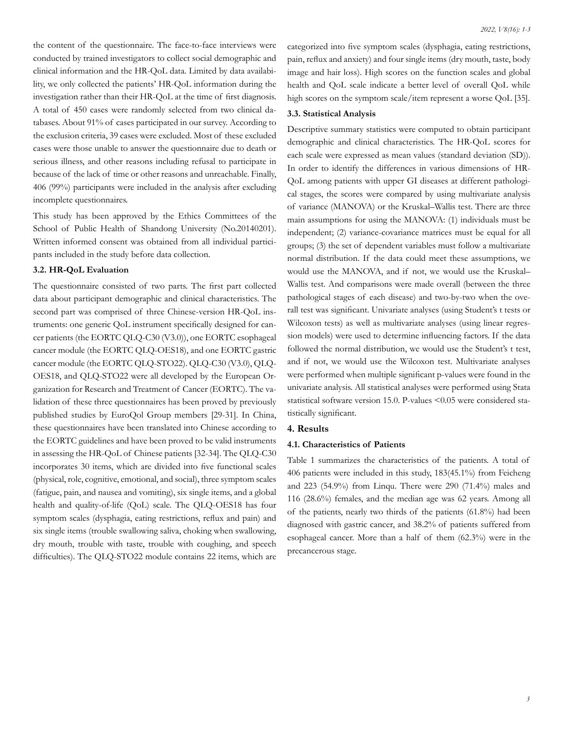the content of the questionnaire. The face-to-face interviews were conducted by trained investigators to collect social demographic and clinical information and the HR-QoL data. Limited by data availability, we only collected the patients' HR-QoL information during the investigation rather than their HR-QoL at the time of first diagnosis. A total of 450 cases were randomly selected from two clinical databases. About 91% of cases participated in our survey. According to the exclusion criteria, 39 cases were excluded. Most of these excluded cases were those unable to answer the questionnaire due to death or serious illness, and other reasons including refusal to participate in because of the lack of time or other reasons and unreachable. Finally, 406 (99%) participants were included in the analysis after excluding incomplete questionnaires.

This study has been approved by the Ethics Committees of the School of Public Health of Shandong University (No.20140201). Written informed consent was obtained from all individual participants included in the study before data collection.

#### **3.2. HR-QoL Evaluation**

The questionnaire consisted of two parts. The first part collected data about participant demographic and clinical characteristics. The second part was comprised of three Chinese-version HR-QoL instruments: one generic QoL instrument specifically designed for cancer patients (the EORTC QLQ-C30 (V3.0)), one EORTC esophageal cancer module (the EORTC QLQ-OES18), and one EORTC gastric cancer module (the EORTC QLQ-STO22). QLQ-C30 (V3.0), QLQ-OES18, and QLQ-STO22 were all developed by the European Organization for Research and Treatment of Cancer (EORTC). The validation of these three questionnaires has been proved by previously published studies by EuroQol Group members [29-31]. In China, these questionnaires have been translated into Chinese according to the EORTC guidelines and have been proved to be valid instruments in assessing the HR-QoL of Chinese patients [32-34]. The QLQ-C30 incorporates 30 items, which are divided into five functional scales (physical, role, cognitive, emotional, and social), three symptom scales (fatigue, pain, and nausea and vomiting), six single items, and a global health and quality-of-life (QoL) scale. The QLQ-OES18 has four symptom scales (dysphagia, eating restrictions, reflux and pain) and six single items (trouble swallowing saliva, choking when swallowing, dry mouth, trouble with taste, trouble with coughing, and speech difficulties). The QLQ-STO22 module contains 22 items, which are categorized into five symptom scales (dysphagia, eating restrictions, pain, reflux and anxiety) and four single items (dry mouth, taste, body image and hair loss). High scores on the function scales and global health and QoL scale indicate a better level of overall QoL while high scores on the symptom scale/item represent a worse QoL [35].

#### **3.3. Statistical Analysis**

Descriptive summary statistics were computed to obtain participant demographic and clinical characteristics. The HR-QoL scores for each scale were expressed as mean values (standard deviation (SD)). In order to identify the differences in various dimensions of HR-QoL among patients with upper GI diseases at different pathological stages, the scores were compared by using multivariate analysis of variance (MANOVA) or the Kruskal–Wallis test. There are three main assumptions for using the MANOVA: (1) individuals must be independent; (2) variance-covariance matrices must be equal for all groups; (3) the set of dependent variables must follow a multivariate normal distribution. If the data could meet these assumptions, we would use the MANOVA, and if not, we would use the Kruskal– Wallis test. And comparisons were made overall (between the three pathological stages of each disease) and two-by-two when the overall test was significant. Univariate analyses (using Student's t tests or Wilcoxon tests) as well as multivariate analyses (using linear regression models) were used to determine influencing factors. If the data followed the normal distribution, we would use the Student's t test, and if not, we would use the Wilcoxon test. Multivariate analyses were performed when multiple significant p-values were found in the univariate analysis. All statistical analyses were performed using Stata statistical software version 15.0. P-values <0.05 were considered statistically significant.

#### **4. Results**

#### **4.1. Characteristics of Patients**

Table 1 summarizes the characteristics of the patients. A total of 406 patients were included in this study, 183(45.1%) from Feicheng and 223 (54.9%) from Linqu. There were 290 (71.4%) males and 116 (28.6%) females, and the median age was 62 years. Among all of the patients, nearly two thirds of the patients (61.8%) had been diagnosed with gastric cancer, and 38.2% of patients suffered from esophageal cancer. More than a half of them (62.3%) were in the precancerous stage.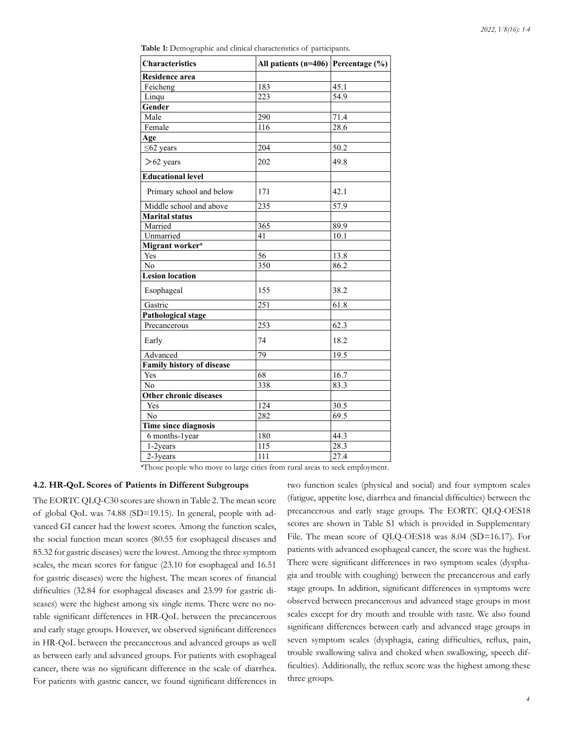**Table 1:** Demographic and clinical characteristics of participants.

| Characteristics                  | All patients ( $n=406$ ) Percentage (%) |                   |
|----------------------------------|-----------------------------------------|-------------------|
| <b>Residence area</b>            |                                         |                   |
| Feicheng                         | 183                                     | 45.1              |
| Linqu                            | 223                                     | $\overline{54.9}$ |
| Gender                           |                                         |                   |
| Male                             | 290                                     | 71.4              |
| Female                           | 116                                     | 28.6              |
| Age                              |                                         |                   |
| $\leq 62$ years                  | 204                                     | 50.2              |
| $>62$ years                      | 202                                     | 49.8              |
| <b>Educational level</b>         |                                         |                   |
| Primary school and below         | 171                                     | 42.1              |
| Middle school and above          | 235                                     | 57.9              |
| <b>Marital status</b>            |                                         |                   |
| Married                          | 365                                     | 89.9              |
| Unmarried                        | 41                                      | 10.1              |
| Migrant worker <sup>a</sup>      |                                         |                   |
| Yes                              | 56                                      | 13.8              |
| No                               | 350                                     | 86.2              |
| <b>Lesion location</b>           |                                         |                   |
| Esophageal                       | 155                                     | 38.2              |
| Gastric                          | $\overline{251}$                        | 61.8              |
| <b>Pathological stage</b>        |                                         |                   |
| Precancerous                     | 253                                     | 62.3              |
| Early                            | 74                                      | 18.2              |
| Advanced                         | $\overline{79}$                         | 19.5              |
| <b>Family history of disease</b> |                                         |                   |
| Yes                              | 68                                      | 16.7              |
| No                               | 338                                     | 83.3              |
| <b>Other chronic diseases</b>    |                                         |                   |
| Yes                              | 124                                     | 30.5              |
| N <sub>o</sub>                   | 282                                     | 69.5              |
| Time since diagnosis             |                                         |                   |
| 6 months-1year                   | 180                                     | 44.3              |
| 1-2years                         | 115                                     | 28.3              |
| 2-3years                         | 111                                     | 27.4              |

**α** Those people who move to large cities from rural areas to seek employment.

## **4.2. HR-QoL Scores of Patients in Different Subgroups**

The EORTC QLQ-C30 scores are shown in Table 2. The mean score of global QoL was 74.88 (SD=19.15). In general, people with advanced GI cancer had the lowest scores. Among the function scales, the social function mean scores (80.55 for esophageal diseases and 85.32 for gastric diseases) were the lowest. Among the three symptom scales, the mean scores for fatigue (23.10 for esophageal and 16.51 for gastric diseases) were the highest. The mean scores of financial difficulties (32.84 for esophageal diseases and 23.99 for gastric diseases) were the highest among six single items. There were no notable significant differences in HR-QoL between the precancerous and early stage groups. However, we observed significant differences in HR-QoL between the precancerous and advanced groups as well as between early and advanced groups. For patients with esophageal cancer, there was no significant difference in the scale of diarrhea. For patients with gastric cancer, we found significant differences in two function scales (physical and social) and four symptom scales (fatigue, appetite lose, diarrhea and financial difficulties) between the precancerous and early stage groups. The EORTC QLQ-OES18 scores are shown in Table S1 which is provided in Supplementary File. The mean score of QLQ-OES18 was 8.04 (SD=16.17). For patients with advanced esophageal cancer, the score was the highest. There were significant differences in two symptom scales (dysphagia and trouble with coughing) between the precancerous and early stage groups. In addition, significant differences in symptoms were observed between precancerous and advanced stage groups in most scales except for dry mouth and trouble with taste. We also found significant differences between early and advanced stage groups in seven symptom scales (dysphagia, eating difficulties, reflux, pain, trouble swallowing saliva and choked when swallowing, speech difficulties). Additionally, the reflux score was the highest among these three groups.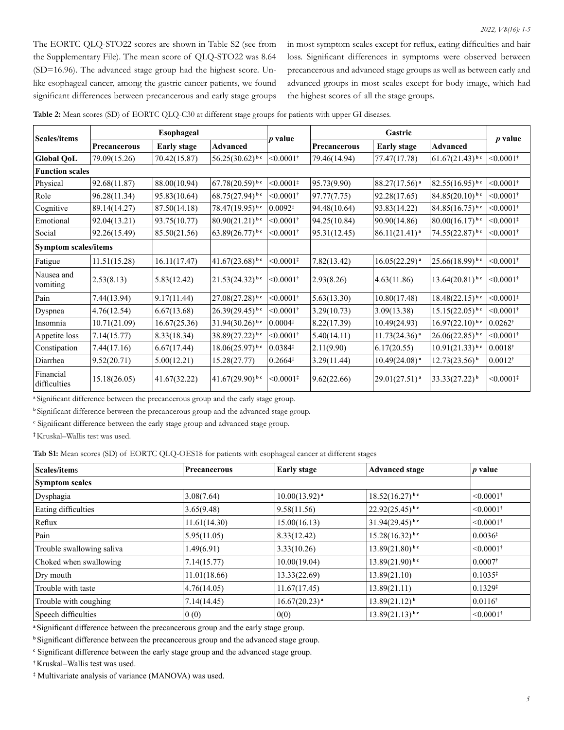The EORTC QLQ-STO22 scores are shown in Table S2 (see from the Supplementary File). The mean score of QLQ-STO22 was 8.64 (SD=16.96). The advanced stage group had the highest score. Unlike esophageal cancer, among the gastric cancer patients, we found significant differences between precancerous and early stage groups in most symptom scales except for reflux, eating difficulties and hair loss. Significant differences in symptoms were observed between precancerous and advanced stage groups as well as between early and advanced groups in most scales except for body image, which had the highest scores of all the stage groups.

| Table 2: Mean scores (SD) of EORTC QLQ-C30 at different stage groups for patients with upper GI diseases. |  |
|-----------------------------------------------------------------------------------------------------------|--|
|-----------------------------------------------------------------------------------------------------------|--|

| <b>Scales/items</b>       |                             | Esophageal         |                              | <i>p</i> value             |              | Gastric            |                      | $p$ value                  |
|---------------------------|-----------------------------|--------------------|------------------------------|----------------------------|--------------|--------------------|----------------------|----------------------------|
|                           | Precancerous                | <b>Early stage</b> | <b>Advanced</b>              |                            | Precancerous | <b>Early stage</b> | <b>Advanced</b>      |                            |
| <b>Global QoL</b>         | 79.09(15.26)                | 70.42(15.87)       | $56.25(30.62)^{bc}$          | $< 0.0001$ <sup>†</sup>    | 79.46(14.94) | 77.47(17.78)       | $61.67(21.43)^{b c}$ | $< 0.0001$ <sup>†</sup>    |
| <b>Function scales</b>    |                             |                    |                              |                            |              |                    |                      |                            |
| Physical                  | 92.68(11.87)                | 88.00(10.94)       | $67.78(20.59)^{b.c}$         | $< 0.0001$ <sup>*</sup>    | 95.73(9.90)  | $88.27(17.56)^{a}$ | $82.55(16.95)^{b c}$ | $< 0.0001$ <sup>†</sup>    |
| Role                      | 96.28(11.34)                | 95.83(10.64)       | $68.75(27.94)^{bc}$          | $< 0.0001$ <sup>†</sup>    | 97.77(7.75)  | 92.28(17.65)       | $84.85(20.10)^{b.c}$ | $< 0.0001$ <sup>†</sup>    |
| Cognitive                 | 89.14(14.27)                | 87.50(14.18)       | $78.47(19.95)^{bc}$          | $0.0092*$                  | 94.48(10.64) | 93.83(14.22)       | $84.85(16.75)^{b c}$ | $< 0.0001$ <sup>†</sup>    |
| Emotional                 | 92.04(13.21)                | 93.75(10.77)       | $80.90(21.21)^{bc}$          | $< 0.0001$ <sup>†</sup>    | 94.25(10.84) | 90.90(14.86)       | $80.00(16.17)^{b.c}$ | $< 0.0001$ <sup>#</sup>    |
| Social                    | 92.26(15.49)                | 85.50(21.56)       | $63.89(26.77)^{bc}$          | $< 0.0001$ <sup>†</sup>    | 95.31(12.45) | $86.11(21.41)^{a}$ | $74.55(22.87)^{bc}$  | $< 0.0001$ <sup>†</sup>    |
|                           | <b>Symptom scales/items</b> |                    |                              |                            |              |                    |                      |                            |
| Fatigue                   | 11.51(15.28)                | 16.11(17.47)       | $41.67(23.68)^{b.c}$         | $\leq 0.0001$ <sup>*</sup> | 7.82(13.42)  | $16.05(22.29)^{a}$ | $25.66(18.99)^{b c}$ | $< 0.0001$ <sup>†</sup>    |
| Nausea and<br>vomiting    | 2.53(8.13)                  | 5.83(12.42)        | $21.53(24.32)^{bc}$          | $< 0.0001$ <sup>†</sup>    | 2.93(8.26)   | 4.63(11.86)        | $13.64(20.81)^{b c}$ | $< 0.0001$ <sup>†</sup>    |
| Pain                      | 7.44(13.94)                 | 9.17(11.44)        | $27.08(27.28)$ <sup>bc</sup> | $< 0.0001$ <sup>†</sup>    | 5.63(13.30)  | 10.80(17.48)       | $18.48(22.15)^{b c}$ | $\leq 0.0001$ <sup>#</sup> |
| Dyspnea                   | 4.76(12.54)                 | 6.67(13.68)        | $26.39(29.45)^{bc}$          | $< 0.0001$ <sup>†</sup>    | 3.29(10.73)  | 3.09(13.38)        | $15.15(22.05)^{b c}$ | $< 0.0001$ <sup>†</sup>    |
| Insomnia                  | 10.71(21.09)                | 16.67(25.36)       | $31.94(30.26)^{bc}$          | $0.0004*$                  | 8.22(17.39)  | 10.49(24.93)       | $16.97(22.10)^{b c}$ | $0.0262^*$                 |
| Appetite loss             | 7.14(15.77)                 | 8.33(18.34)        | $38.89(27.22)^{bc}$          | $< 0.0001$ <sup>†</sup>    | 5.40(14.11)  | $11.73(24.36)^{a}$ | $26.06(22.85)^{b c}$ | $< 0.0001$ <sup>†</sup>    |
| Constipation              | 7.44(17.16)                 | 6.67(17.44)        | $18.06(25.97)^{bc}$          | 0.0384                     | 2.11(9.90)   | 6.17(20.55)        | $10.91(21.33)^{bc}$  | $0.0018^*$                 |
| Diarrhea                  | 9.52(20.71)                 | 5.00(12.21)        | 15.28(27.77)                 | $0.2664*$                  | 3.29(11.44)  | $10.49(24.08)^{a}$ | $12.73(23.56)^{b}$   | $0.0012^*$                 |
| Financial<br>difficulties | 15.18(26.05)                | 41.67(32.22)       | $41.67(29.90)^{bc}$          | $< 0.0001$ <sup>‡</sup>    | 9.62(22.66)  | $29.01(27.51)^{a}$ | $33.33(27.22)^{b}$   | $\leq 0.0001$ <sup>#</sup> |

**<sup>a</sup>**Significant difference between the precancerous group and the early stage group.

<sup>b</sup>Significant difference between the precancerous group and the advanced stage group.

**c** Significant difference between the early stage group and advanced stage group.

**†**Kruskal–Wallis test was used.

**Tab S1:** Mean scores (SD) of EORTC QLQ-OES18 for patients with esophageal cancer at different stages

| Scales/items              | Precancerous | <b>Early stage</b> | <b>Advanced stage</b>  | $p$ value               |
|---------------------------|--------------|--------------------|------------------------|-------------------------|
| <b>Symptom scales</b>     |              |                    |                        |                         |
| Dysphagia                 | 3.08(7.64)   | $10.00(13.92)^{a}$ | $18.52(16.27)^{b c}$   | $< 0.0001$ <sup>†</sup> |
| Eating difficulties       | 3.65(9.48)   | 9.58(11.56)        | $(22.92(25.45)^{b c})$ | $< 0.0001$ <sup>†</sup> |
| Reflux                    | 11.61(14.30) | 15.00(16.13)       | $31.94(29.45)^{b c}$   | $< 0.0001$ <sup>†</sup> |
| Pain                      | 5.95(11.05)  | 8.33(12.42)        | $15.28(16.32)^{b c}$   | $ 0.0036*$              |
| Trouble swallowing saliva | 1.49(6.91)   | 3.33(10.26)        | $13.89(21.80)^{b.c}$   | $< 0.0001$ <sup>†</sup> |
| Choked when swallowing    | 7.14(15.77)  | 10.00(19.04)       | $13.89(21.90)^{b c}$   | $0.0007$ <sup>†</sup>   |
| Dry mouth                 | 11.01(18.66) | 13.33(22.69)       | 13.89(21.10)           | $ 0.1035*$              |
| Trouble with taste        | 4.76(14.05)  | 11.67(17.45)       | 13.89(21.11)           | $ 0.1329*$              |
| Trouble with coughing     | 7.14(14.45)  | $16.67(20.23)^{a}$ | $13.89(21.12)^{b}$     | $0.0116^*$              |
| Speech difficulties       | 0(0)         | 0(0)               | $13.89(21.13)^{bc}$    | $< 0.0001$ <sup>†</sup> |

**<sup>a</sup>**Significant difference between the precancerous group and the early stage group.

**b** Significant difference between the precancerous group and the advanced stage group.

**c** Significant difference between the early stage group and the advanced stage group.

**†** Kruskal–Wallis test was used.

**‡** Multivariate analysis of variance (MANOVA) was used.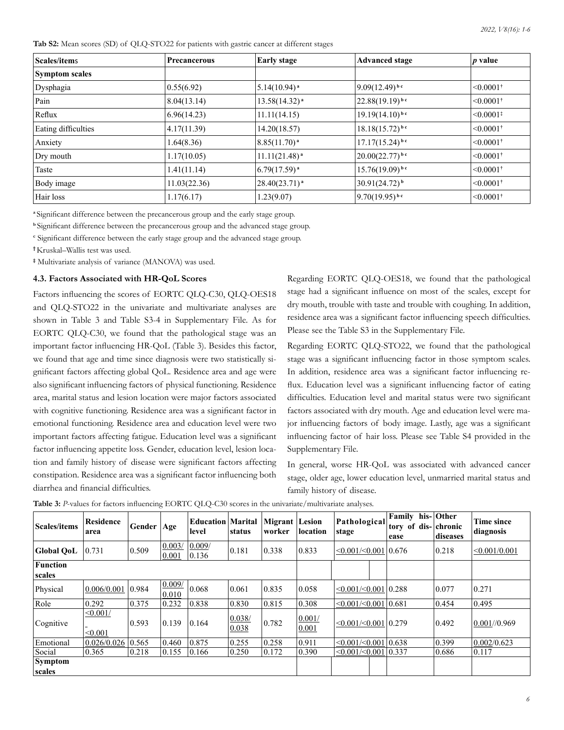**Tab S2:** Mean scores (SD) of QLQ-STO22 for patients with gastric cancer at different stages

| Scales/items          | <b>Precancerous</b> | <b>Early stage</b>          | <b>Advanced stage</b>        | $ p \text{ value} $     |
|-----------------------|---------------------|-----------------------------|------------------------------|-------------------------|
| <b>Symptom scales</b> |                     |                             |                              |                         |
| Dysphagia             | 0.55(6.92)          | $5.14(10.94)^{a}$           | $9.09(12.49)^{b.c}$          | $< 0.0001$ <sup>†</sup> |
| Pain                  | 8.04(13.14)         | $13.58(14.32)^{a}$          | $22.88(19.19)^{b c}$         | $ <0.0001*$             |
| Reflux                | 6.96(14.23)         | 11.11(14.15)                | $19.19(14.10)^{b c}$         | $ < 0.0001*$            |
| Eating difficulties   | 4.17(11.39)         | 14.20(18.57)                | $18.18(15.72)^{bc}$          | $ <0.0001*$             |
| Anxiety               | 1.64(8.36)          | $8.85(11.70)^{a}$           | $17.17(15.24)$ <sup>bc</sup> | $ <0.0001*$             |
| Dry mouth             | 1.17(10.05)         | $11.11(21.48)$ <sup>a</sup> | $20.00(22.77)^{b.c}$         | $< 0.0001$ <sup>†</sup> |
| Taste                 | 1.41(11.14)         | $6.79(17.59)^{a}$           | $15.76(19.09)^{b c}$         | $< 0.0001$ <sup>†</sup> |
| Body image            | 11.03(22.36)        | $28.40(23.71)^{a}$          | $30.91(24.72)^{b}$           | $< 0.0001$ <sup>†</sup> |
| Hair loss             | 1.17(6.17)          | 1.23(9.07)                  | $9.70(19.95)^{bc}$           | $< 0.0001$ <sup>†</sup> |

**<sup>a</sup>**Significant difference between the precancerous group and the early stage group.

**<sup>b</sup>**Significant difference between the precancerous group and the advanced stage group.

**c** Significant difference between the early stage group and the advanced stage group.

**†**Kruskal–Wallis test was used.

**‡** Multivariate analysis of variance (MANOVA) was used.

## **4.3. Factors Associated with HR-QoL Scores**

Factors influencing the scores of EORTC QLQ-C30, QLQ-OES18 and QLQ-STO22 in the univariate and multivariate analyses are shown in Table 3 and Table S3-4 in Supplementary File. As for EORTC QLQ-C30, we found that the pathological stage was an important factor influencing HR-QoL (Table 3). Besides this factor, we found that age and time since diagnosis were two statistically significant factors affecting global QoL. Residence area and age were also significant influencing factors of physical functioning. Residence area, marital status and lesion location were major factors associated with cognitive functioning. Residence area was a significant factor in emotional functioning. Residence area and education level were two important factors affecting fatigue. Education level was a significant factor influencing appetite loss. Gender, education level, lesion location and family history of disease were significant factors affecting constipation. Residence area was a significant factor influencing both diarrhea and financial difficulties.

Regarding EORTC QLQ-OES18, we found that the pathological stage had a significant influence on most of the scales, except for dry mouth, trouble with taste and trouble with coughing. In addition, residence area was a significant factor influencing speech difficulties. Please see the Table S3 in the Supplementary File.

Regarding EORTC QLQ-STO22, we found that the pathological stage was a significant influencing factor in those symptom scales. In addition, residence area was a significant factor influencing reflux. Education level was a significant influencing factor of eating difficulties. Education level and marital status were two significant factors associated with dry mouth. Age and education level were major influencing factors of body image. Lastly, age was a significant influencing factor of hair loss. Please see Table S4 provided in the Supplementary File.

In general, worse HR-QoL was associated with advanced cancer stage, older age, lower education level, unmarried marital status and family history of disease.

| <b>Scales/items</b> | <b>Residence</b><br>area | Gender   Age |                 | <b>Education   Marital</b><br>level | status          | <b>Migrant</b> Lesion<br>worker | location        | Pathological<br>stage             | Family his- Other<br>tory of dis- chronic<br>ease | diseases | <b>Time since</b><br>diagnosis |
|---------------------|--------------------------|--------------|-----------------|-------------------------------------|-----------------|---------------------------------|-----------------|-----------------------------------|---------------------------------------------------|----------|--------------------------------|
| <b>Global OoL</b>   | 0.731                    | 0.509        | 0.003/<br>0.001 | 0.009/<br>0.136                     | 0.181           | 0.338                           | 0.833           | $\leq 0.001/\leq 0.001$   0.676   |                                                   | 0.218    | < 0.001/0.001                  |
| <b>Function</b>     |                          |              |                 |                                     |                 |                                 |                 |                                   |                                                   |          |                                |
| scales              |                          |              |                 |                                     |                 |                                 |                 |                                   |                                                   |          |                                |
| Physical            | 0.006/0.001              | 0.984        | 0.009/<br>0.010 | 0.068                               | 0.061           | 0.835                           | 0.058           | $\leq 0.001 / \leq 0.001   0.288$ |                                                   | 0.077    | 0.271                          |
| Role                | 0.292                    | 0.375        | 0.232           | 0.838                               | 0.830           | 0.815                           | 0.308           | $\leq 0.001 / \leq 0.001   0.681$ |                                                   | 0.454    | 0.495                          |
| Cognitive           | < 0.001/<br>< 0.001      | 0.593        | 0.139           | 0.164                               | 0.038/<br>0.038 | 0.782                           | 0.001/<br>0.001 | < 0.001 / < 0.001   0.279         |                                                   | 0.492    | 0.001/0.969                    |
| Emotional           | 0.026/0.026              | 0.565        | 0.460           | 0.875                               | 0.255           | 0.258                           | 0.911           | $\leq 0.001 / \leq 0.001   0.638$ |                                                   | 0.399    | 0.002/0.623                    |
| Social              | 0.365                    | 0.218        | 0.155           | 0.166                               | 0.250           | 0.172                           | 0.390           | < 0.001 / < 0.001   0.337         |                                                   | 0.686    | 0.117                          |
| Symptom<br>scales   |                          |              |                 |                                     |                 |                                 |                 |                                   |                                                   |          |                                |

**Table 3:** *P*-values for factors influencing EORTC QLQ-C30 scores in the univariate/multivariate analyses.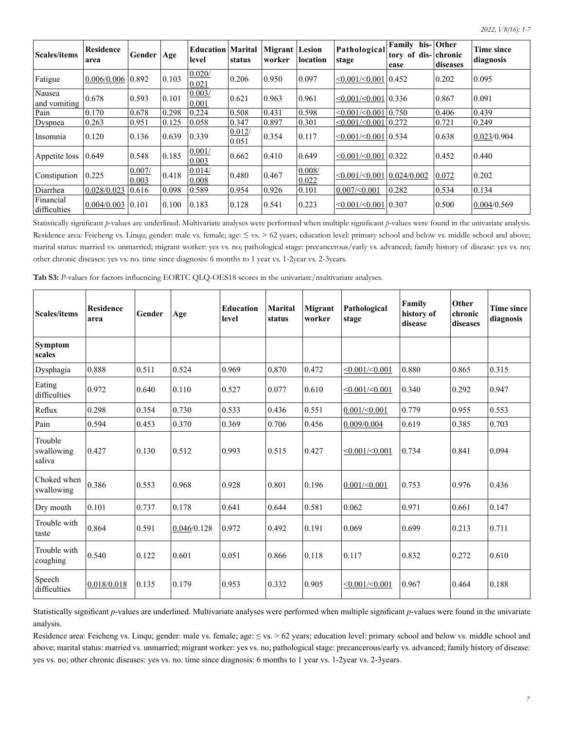т

| Scales/items              | <b>Residence</b><br>area | Gender          | Age   | <b>Education Marital</b><br>level | status          | Migrant<br>worker | Lesion<br><b>location</b> | Pathological<br>stage                     | Family<br>tory of dis- chronic<br>ease | his- Other<br>diseases | <b>Time since</b><br>diagnosis |
|---------------------------|--------------------------|-----------------|-------|-----------------------------------|-----------------|-------------------|---------------------------|-------------------------------------------|----------------------------------------|------------------------|--------------------------------|
| Fatigue                   | 0.006/0.006              | 0.892           | 0.103 | 0.020/<br>0.021                   | 0.206           | 0.950             | 0.097                     | $\leq 0.001 / \leq 0.001   0.452$         |                                        | 0.202                  | 0.095                          |
| Nausea<br>and vomiting    | 0.678                    | $ 0.593\rangle$ | 0.101 | 0.003/<br>0.001                   | 0.621           | 0.963             | 0.961                     | $\leq 0.001 / \leq 0.001   0.336$         |                                        | 0.867                  | 0.091                          |
| Pain                      | 0.170                    | 0.678           | 0.298 | 0.224                             | 0.508           | 0.431             | 0.598                     | $\leq 0.001 / \leq 0.001   0.750$         |                                        | 0.406                  | 0.439                          |
| Dyspnea                   | 0.263                    | 0.951           | 0.125 | 0.058                             | 0.347           | 0.897             | 0.301                     | $\leq 0.001 / \leq 0.001   0.272$         |                                        | 0.721                  | 0.249                          |
| Insomnia                  | 0.120                    | 0.136           | 0.639 | 0.339                             | 0.012/<br>0.051 | 0.354             | 0.117                     | $\leq 0.001 / \leq 0.001   0.534$         |                                        | 0.638                  | 0.023/0.904                    |
| Appetite loss             | 0.649                    | 0.548           | 0.185 | 0.001/<br>0.003                   | 0.662           | $ 0.410\rangle$   | 0.649                     | $\leq 0.001 / \leq 0.001   0.322$         |                                        | 0.452                  | $ 0.440\rangle$                |
| Constipation              | 0.225                    | 0.007/<br>0.003 | 0.418 | 0.014/<br>0.008                   | 0.480           | 0.467             | 0.008/<br>0.022           | $\leq 0.001 / \leq 0.001   0.024 / 0.002$ |                                        | 0.072                  | 0.202                          |
| Diarrhea                  | 0.028/0.023              | 0.616           | 0.098 | 0.589                             | 0.954           | 0.926             | 0.101                     | $ 0.007/\leq 0.001$                       | 0.282                                  | 0.534                  | 0.134                          |
| Financial<br>difficulties | 0.004/0.003              | 0.101           | 0.100 | 0.183                             | 0.128           | 0.541             | 0.223                     | $\leq 0.001 / \leq 0.001   0.307$         |                                        | 0.500                  | 0.004/0.569                    |

Statistically significant *p*-values are underlined. Multivariate analyses were performed when multiple significant *p*-values were found in the univariate analysis. Residence area: Feicheng vs. Linqu; gender: male vs. female; age: ≤ vs. > 62 years; education level: primary school and below vs. middle school and above; marital status: married vs. unmarried; migrant worker: yes vs. no; pathological stage: precancerous/early vs. advanced; family history of disease: yes vs. no; other chronic diseases: yes vs. no. time since diagnosis: 6 months to 1 year vs. 1-2year vs. 2-3years.

| Tab S3: P-values for factors influencing EORTC QLQ-OES18 scores in the univariate/multivariate analyses. |  |  |  |  |  |
|----------------------------------------------------------------------------------------------------------|--|--|--|--|--|
|                                                                                                          |  |  |  |  |  |

| <b>Scales/items</b>             | <b>Residence</b><br>area | Gender | Age         | <b>Education</b><br>level | <b>Marital</b><br>status | Migrant<br>worker | Pathological<br>stage | Family<br>history of<br>disease | Other<br>chronic<br>diseases | <b>Time since</b><br>diagnosis |
|---------------------------------|--------------------------|--------|-------------|---------------------------|--------------------------|-------------------|-----------------------|---------------------------------|------------------------------|--------------------------------|
| <b>Symptom</b><br>scales        |                          |        |             |                           |                          |                   |                       |                                 |                              |                                |
| Dysphagia                       | 0.888                    | 0.511  | 0.524       | 0.969                     | 0.870                    | 0.472             | $<$ 0.001/ $<$ 0.001  | 0.880                           | 0.865                        | 0.315                          |
| Eating<br>difficulties          | 0.972                    | 0.640  | 0.110       | 0.527                     | 0.077                    | 0.610             | $<$ 0.001/ $<$ 0.001  | 0.340                           | 0.292                        | 0.947                          |
| Reflux                          | 0.298                    | 0.354  | 0.730       | 0.533                     | 0.436                    | 0.551             | $0.001/\leq 0.001$    | 0.779                           | 0.955                        | 0.553                          |
| Pain                            | 0.594                    | 0.453  | 0.370       | 0.369                     | 0.706                    | 0.456             | 0.009/0.004           | 0.619                           | 0.385                        | 0.703                          |
| Trouble<br>swallowing<br>saliva | 0.427                    | 0.130  | 0.512       | 0.993                     | 0.515                    | 0.427             | $<$ 0.001/ $<$ 0.001  | 0.734                           | 0.841                        | 0.094                          |
| Choked when<br>swallowing       | 0.386                    | 0.553  | 0.968       | 0.928                     | 0.801                    | 0.196             | $0.001/\leq 0.001$    | 0.753                           | 0.976                        | 0.436                          |
| Dry mouth                       | 0.101                    | 0.737  | 0.178       | 0.641                     | 0.644                    | 0.581             | 0.062                 | 0.971                           | 0.661                        | 0.147                          |
| Trouble with<br>taste           | 0.864                    | 0.591  | 0.046/0.128 | 0.972                     | 0.492                    | 0.191             | 0.069                 | 0.699                           | 0.213                        | 0.711                          |
| Trouble with<br>coughing        | 0.540                    | 0.122  | 0.601       | 0.051                     | 0.866                    | 0.118             | 0.117                 | 0.832                           | 0.272                        | 0.610                          |
| Speech<br>difficulties          | 0.018/0.018              | 0.135  | 0.179       | 0.953                     | 0.332                    | 0.905             | $<$ 0.001/ $<$ 0.001  | 0.967                           | 0.464                        | 0.188                          |

Statistically significant *p*-values are underlined. Multivariate analyses were performed when multiple significant *p*-values were found in the univariate analysis.

Residence area: Feicheng vs. Linqu; gender: male vs. female; age: ≤ vs. > 62 years; education level: primary school and below vs. middle school and above; marital status: married vs. unmarried; migrant worker: yes vs. no; pathological stage: precancerous/early vs. advanced; family history of disease: yes vs. no; other chronic diseases: yes vs. no. time since diagnosis: 6 months to 1 year vs. 1-2year vs. 2-3years.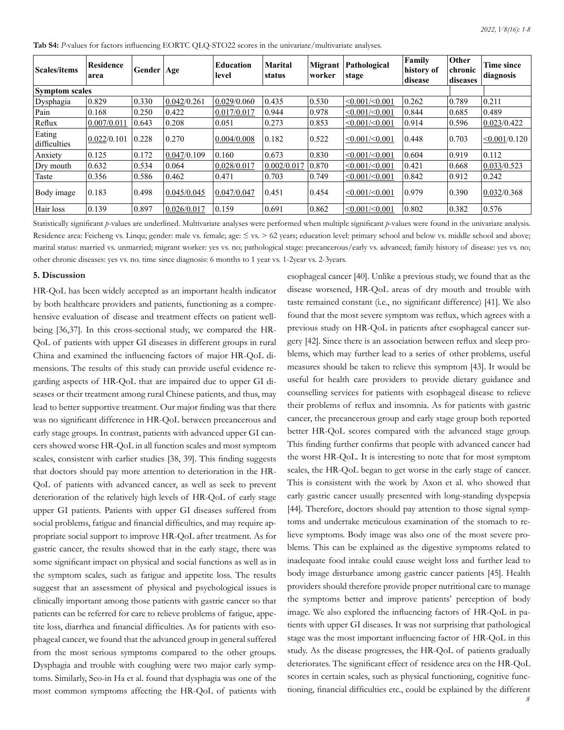**Tab S4:** *P-*values for factors influencing EORTC QLQ-STO22 scores in the univariate/multivariate analyses.

| <b>Scales/items</b>    | <b>Residence</b><br>area | Gender   Age |             | Education<br>level | <b>Marital</b><br>status | Migrant<br>worker | Pathological<br>stage   | Family<br>history of<br>disease | Other<br>chronic<br>diseases | Time since<br>diagnosis |  |
|------------------------|--------------------------|--------------|-------------|--------------------|--------------------------|-------------------|-------------------------|---------------------------------|------------------------------|-------------------------|--|
|                        | <b>Symptom scales</b>    |              |             |                    |                          |                   |                         |                                 |                              |                         |  |
| Dysphagia              | 0.829                    | 0.330        | 0.042/0.261 | 0.029/0.060        | 0.435                    | 0.530             | < 0.001 / 0.001         | 0.262                           | 0.789                        | 0.211                   |  |
| Pain                   | 0.168                    | 0.250        | 0.422       | 0.017/0.017        | 0.944                    | 0.978             | < 0.001 / 0.001         | 0.844                           | 0.685                        | 0.489                   |  |
| Reflux                 | 0.007/0.011              | 0.643        | 0.208       | 0.051              | 0.273                    | 0.853             | $\leq 0.001/\leq 0.001$ | 0.914                           | 0.596                        | 0.023/0.422             |  |
| Eating<br>difficulties | 0.022/0.101              | 0.228        | 0.270       | 0.004/0.008        | 0.182                    | 0.522             | < 0.001 / 0.001         | 0.448                           | 0.703                        | < 0.001/0.120           |  |
| Anxiety                | 0.125                    | 0.172        | 0.047/0.109 | 0.160              | 0.673                    | 0.830             | < 0.001 / 0.001         | 0.604                           | 0.919                        | 0.112                   |  |
| Dry mouth              | 0.632                    | 0.534        | 0.064       | 0.028/0.017        | 0.002/0.017              | 0.870             | $\leq 0.001/\leq 0.001$ | 0.421                           | 0.668                        | 0.033/0.523             |  |
| Taste                  | 0.356                    | 0.586        | 0.462       | 0.471              | 0.703                    | 0.749             | $\leq 0.001/\leq 0.001$ | 0.842                           | 0.912                        | 0.242                   |  |
| Body image             | 0.183                    | 0.498        | 0.045/0.045 | 0.047/0.047        | 0.451                    | 0.454             | < 0.001 / 0.001         | 0.979                           | 0.390                        | 0.032/0.368             |  |
| Hair loss              | 0.139                    | 0.897        | 0.026/0.017 | 0.159              | 0.691                    | 0.862             | $\leq 0.001/\leq 0.001$ | 0.802                           | 0.382                        | 0.576                   |  |

Statistically significant *p*-values are underlined. Multivariate analyses were performed when multiple significant *p*-values were found in the univariate analysis. Residence area: Feicheng vs. Linqu; gender: male vs. female; age:  $\leq$  vs.  $> 62$  years; education level: primary school and below vs. middle school and above; marital status: married vs. unmarried; migrant worker: yes vs. no; pathological stage: precancerous/early vs. advanced; family history of disease: yes vs. no; other chronic diseases: yes vs. no. time since diagnosis: 6 months to 1 year vs. 1-2year vs. 2-3years.

#### **5. Discussion**

HR-QoL has been widely accepted as an important health indicator by both healthcare providers and patients, functioning as a comprehensive evaluation of disease and treatment effects on patient wellbeing [36,37]. In this cross-sectional study, we compared the HR-QoL of patients with upper GI diseases in different groups in rural China and examined the influencing factors of major HR-QoL dimensions. The results of this study can provide useful evidence regarding aspects of HR-QoL that are impaired due to upper GI diseases or their treatment among rural Chinese patients, and thus, may lead to better supportive treatment. Our major finding was that there was no significant difference in HR-QoL between precancerous and early stage groups. In contrast, patients with advanced upper GI cancers showed worse HR-QoL in all function scales and most symptom scales, consistent with earlier studies [38, 39]. This finding suggests that doctors should pay more attention to deterioration in the HR-QoL of patients with advanced cancer, as well as seek to prevent deterioration of the relatively high levels of HR-QoL of early stage upper GI patients. Patients with upper GI diseases suffered from social problems, fatigue and financial difficulties, and may require appropriate social support to improve HR-QoL after treatment. As for gastric cancer, the results showed that in the early stage, there was some significant impact on physical and social functions as well as in the symptom scales, such as fatigue and appetite loss. The results suggest that an assessment of physical and psychological issues is clinically important among those patients with gastric cancer so that patients can be referred for care to relieve problems of fatigue, appetite loss, diarrhea and financial difficulties. As for patients with esophageal cancer, we found that the advanced group in general suffered from the most serious symptoms compared to the other groups. Dysphagia and trouble with coughing were two major early symptoms. Similarly, Seo-in Ha et al. found that dysphagia was one of the most common symptoms affecting the HR-QoL of patients with

esophageal cancer [40]. Unlike a previous study, we found that as the disease worsened, HR-QoL areas of dry mouth and trouble with taste remained constant (i.e., no significant difference) [41]. We also found that the most severe symptom was reflux, which agrees with a previous study on HR-QoL in patients after esophageal cancer surgery [42]. Since there is an association between reflux and sleep problems, which may further lead to a series of other problems, useful measures should be taken to relieve this symptom [43]. It would be useful for health care providers to provide dietary guidance and counselling services for patients with esophageal disease to relieve their problems of reflux and insomnia. As for patients with gastric cancer, the precancerous group and early stage group both reported better HR-QoL scores compared with the advanced stage group. This finding further confirms that people with advanced cancer had the worst HR-QoL. It is interesting to note that for most symptom scales, the HR-QoL began to get worse in the early stage of cancer. This is consistent with the work by Axon et al. who showed that early gastric cancer usually presented with long-standing dyspepsia [44]. Therefore, doctors should pay attention to those signal symptoms and undertake meticulous examination of the stomach to relieve symptoms. Body image was also one of the most severe problems. This can be explained as the digestive symptoms related to inadequate food intake could cause weight loss and further lead to body image disturbance among gastric cancer patients [45]. Health providers should therefore provide proper nutritional care to manage the symptoms better and improve patients' perception of body image. We also explored the influencing factors of HR-QoL in patients with upper GI diseases. It was not surprising that pathological stage was the most important influencing factor of HR-QoL in this study. As the disease progresses, the HR-QoL of patients gradually deteriorates. The significant effect of residence area on the HR-QoL scores in certain scales, such as physical functioning, cognitive functioning, financial difficulties etc., could be explained by the different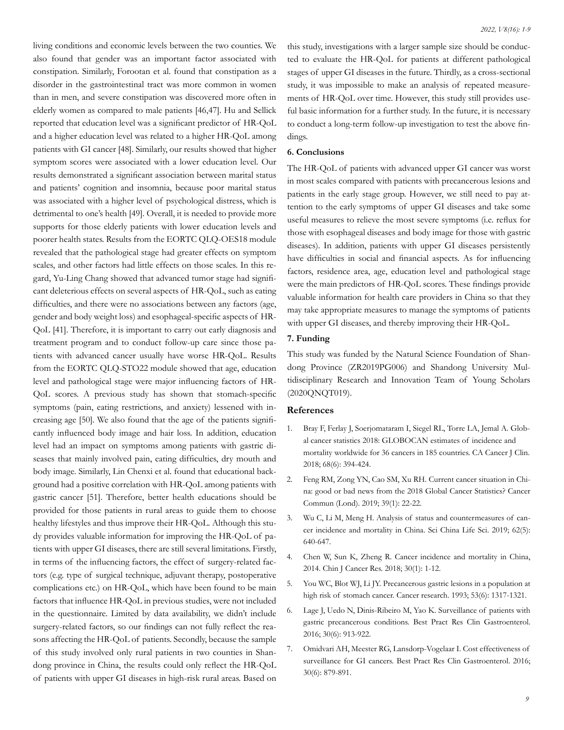living conditions and economic levels between the two counties. We also found that gender was an important factor associated with constipation. Similarly, Forootan et al. found that constipation as a disorder in the gastrointestinal tract was more common in women than in men, and severe constipation was discovered more often in elderly women as compared to male patients [46,47]. Hu and Sellick reported that education level was a significant predictor of HR-QoL and a higher education level was related to a higher HR-QoL among patients with GI cancer [48]. Similarly, our results showed that higher symptom scores were associated with a lower education level. Our results demonstrated a significant association between marital status and patients' cognition and insomnia, because poor marital status was associated with a higher level of psychological distress, which is detrimental to one's health [49]. Overall, it is needed to provide more supports for those elderly patients with lower education levels and poorer health states. Results from the EORTC QLQ-OES18 module revealed that the pathological stage had greater effects on symptom scales, and other factors had little effects on those scales. In this regard, Yu-Ling Chang showed that advanced tumor stage had significant deleterious effects on several aspects of HR-QoL, such as eating difficulties, and there were no associations between any factors (age, gender and body weight loss) and esophageal-specific aspects of HR-QoL [41]. Therefore, it is important to carry out early diagnosis and treatment program and to conduct follow-up care since those patients with advanced cancer usually have worse HR-QoL. Results from the EORTC QLQ-STO22 module showed that age, education level and pathological stage were major influencing factors of HR-QoL scores. A previous study has shown that stomach-specific symptoms (pain, eating restrictions, and anxiety) lessened with increasing age [50]. We also found that the age of the patients significantly influenced body image and hair loss. In addition, education level had an impact on symptoms among patients with gastric diseases that mainly involved pain, eating difficulties, dry mouth and body image. Similarly, Lin Chenxi et al. found that educational background had a positive correlation with HR-QoL among patients with gastric cancer [51]. Therefore, better health educations should be provided for those patients in rural areas to guide them to choose healthy lifestyles and thus improve their HR-QoL. Although this study provides valuable information for improving the HR-QoL of patients with upper GI diseases, there are still several limitations. Firstly, in terms of the influencing factors, the effect of surgery-related factors (e.g. type of surgical technique, adjuvant therapy, postoperative complications etc.) on HR-QoL, which have been found to be main factors that influence HR-QoL in previous studies, were not included in the questionnaire. Limited by data availability, we didn't include surgery-related factors, so our findings can not fully reflect the reasons affecting the HR-QoL of patients. Secondly, because the sample of this study involved only rural patients in two counties in Shandong province in China, the results could only reflect the HR-QoL of patients with upper GI diseases in high-risk rural areas. Based on

this study, investigations with a larger sample size should be conducted to evaluate the HR-QoL for patients at different pathological stages of upper GI diseases in the future. Thirdly, as a cross-sectional study, it was impossible to make an analysis of repeated measurements of HR-QoL over time. However, this study still provides useful basic information for a further study. In the future, it is necessary to conduct a long-term follow-up investigation to test the above findings.

## **6. Conclusions**

The HR-QoL of patients with advanced upper GI cancer was worst in most scales compared with patients with precancerous lesions and patients in the early stage group. However, we still need to pay attention to the early symptoms of upper GI diseases and take some useful measures to relieve the most severe symptoms (i.e. reflux for those with esophageal diseases and body image for those with gastric diseases). In addition, patients with upper GI diseases persistently have difficulties in social and financial aspects. As for influencing factors, residence area, age, education level and pathological stage were the main predictors of HR-QoL scores. These findings provide valuable information for health care providers in China so that they may take appropriate measures to manage the symptoms of patients with upper GI diseases, and thereby improving their HR-QoL.

### **7. Funding**

This study was funded by the Natural Science Foundation of Shandong Province (ZR2019PG006) and Shandong University Multidisciplinary Research and Innovation Team of Young Scholars (2020QNQT019).

## **References**

- 1. [Bray F, Ferlay J, Soerjomataram I, Siegel RL, Torre LA, Jemal A. Glob](https://pubmed.ncbi.nlm.nih.gov/30207593/)[al cancer statistics 2018: GLOBOCAN estimates of incidence and](https://pubmed.ncbi.nlm.nih.gov/30207593/)  [mortality worldwide for 36 cancers in 185 countries. CA Cancer J Clin.](https://pubmed.ncbi.nlm.nih.gov/30207593/)  [2018; 68\(6\): 394-424.](https://pubmed.ncbi.nlm.nih.gov/30207593/)
- 2. [Feng RM, Zong YN, Cao SM, Xu RH. Current cancer situation in Chi](https://pubmed.ncbi.nlm.nih.gov/31030667/)[na: good or bad news from the 2018 Global Cancer Statistics? Cancer](https://pubmed.ncbi.nlm.nih.gov/31030667/)  [Commun \(Lond\). 2019; 39\(1\): 22-22.](https://pubmed.ncbi.nlm.nih.gov/31030667/)
- [Wu C, Li M, Meng H. Analysis of status and countermeasures of can](https://pubmed.ncbi.nlm.nih.gov/30900169/)[cer incidence and mortality in China. Sci China Life Sci. 2019; 62\(5\):](https://pubmed.ncbi.nlm.nih.gov/30900169/) [640-647.](https://pubmed.ncbi.nlm.nih.gov/30900169/)
- 4. [Chen W, Sun K, Zheng R. Cancer incidence and mortality in China,](https://pubmed.ncbi.nlm.nih.gov/29545714/)  [2014. Chin J Cancer Res. 2018; 30\(1\): 1-12.](https://pubmed.ncbi.nlm.nih.gov/29545714/)
- 5. [You WC, Blot WJ, Li JY. Precancerous gastric lesions in a population at](https://pubmed.ncbi.nlm.nih.gov/8443811/)  [high risk of stomach cancer. Cancer research. 1993; 53\(6\): 1317-1321.](https://pubmed.ncbi.nlm.nih.gov/8443811/)
- 6. [Lage J, Uedo N, Dinis-Ribeiro M, Yao K. Surveillance of patients with](https://pubmed.ncbi.nlm.nih.gov/27938786/) [gastric precancerous conditions. Best Pract Res Clin Gastroenterol.](https://pubmed.ncbi.nlm.nih.gov/27938786/) [2016; 30\(6\): 913-922.](https://pubmed.ncbi.nlm.nih.gov/27938786/)
- 7. [Omidvari AH, Meester RG, Lansdorp-Vogelaar I. Cost effectiveness of](https://pubmed.ncbi.nlm.nih.gov/27938783/)  [surveillance for GI cancers. Best Pract Res Clin Gastroenterol. 2016;](https://pubmed.ncbi.nlm.nih.gov/27938783/) [30\(6\): 879-891.](https://pubmed.ncbi.nlm.nih.gov/27938783/)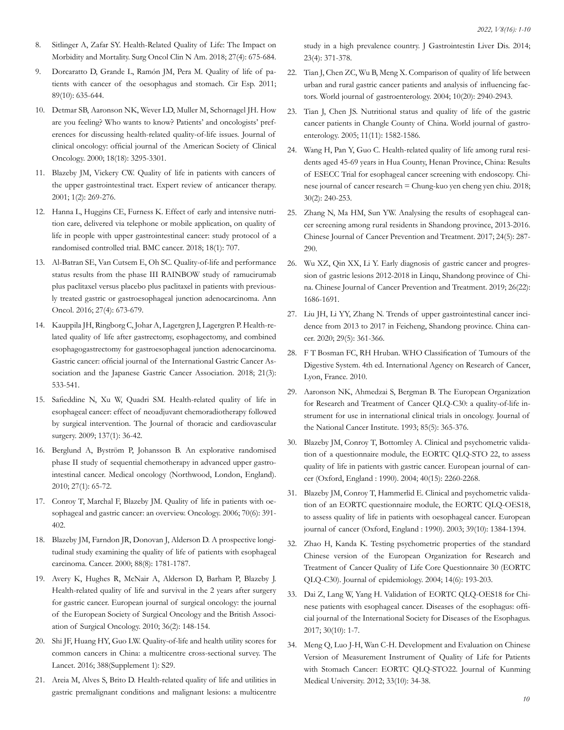- 8. [Sitlinger A, Zafar SY. Health-Related Quality of Life: The Impact on](https://pubmed.ncbi.nlm.nih.gov/30213412/)  [Morbidity and Mortality. Surg Oncol Clin N Am. 2018; 27\(4\): 675-684.](https://pubmed.ncbi.nlm.nih.gov/30213412/)
- 9. [Dorcaratto D, Grande L, Ramón JM, Pera M. Quality of life of pa](https://pubmed.ncbi.nlm.nih.gov/21907976/)[tients with cancer of the oesophagus and stomach. Cir Esp. 2011;](https://pubmed.ncbi.nlm.nih.gov/21907976/) [89\(10\): 635-644.](https://pubmed.ncbi.nlm.nih.gov/21907976/)
- 10. [Detmar SB, Aaronson NK, Wever LD, Muller M, Schornagel JH. How](https://pubmed.ncbi.nlm.nih.gov/10986063/) [are you feeling? Who wants to know? Patients' and oncologists' pref](https://pubmed.ncbi.nlm.nih.gov/10986063/)[erences for discussing health-related quality-of-life issues. Journal of](https://pubmed.ncbi.nlm.nih.gov/10986063/)  [clinical oncology: official journal of the American Society of Clinical](https://pubmed.ncbi.nlm.nih.gov/10986063/)  [Oncology. 2000; 18\(18\): 3295-3301.](https://pubmed.ncbi.nlm.nih.gov/10986063/)
- 11. [Blazeby JM, Vickery CW. Quality of life in patients with cancers of](https://pubmed.ncbi.nlm.nih.gov/12113032/) [the upper gastrointestinal tract. Expert review of anticancer therapy.](https://pubmed.ncbi.nlm.nih.gov/12113032/) [2001; 1\(2\): 269-276.](https://pubmed.ncbi.nlm.nih.gov/12113032/)
- 12. [Hanna L, Huggins CE, Furness K. Effect of early and intensive nutri](https://pubmed.ncbi.nlm.nih.gov/29970033/)[tion care, delivered via telephone or mobile application, on quality of](https://pubmed.ncbi.nlm.nih.gov/29970033/)  [life in people with upper gastrointestinal cancer: study protocol of a](https://pubmed.ncbi.nlm.nih.gov/29970033/)  [randomised controlled trial. BMC cancer. 2018; 18\(1\): 707.](https://pubmed.ncbi.nlm.nih.gov/29970033/)
- 13. [Al-Batran SE, Van Cutsem E, Oh SC. Quality-of-life and performance](https://pubmed.ncbi.nlm.nih.gov/26747859/)  [status results from the phase III RAINBOW study of ramucirumab](https://pubmed.ncbi.nlm.nih.gov/26747859/) [plus paclitaxel versus placebo plus paclitaxel in patients with previous](https://pubmed.ncbi.nlm.nih.gov/26747859/)[ly treated gastric or gastroesophageal junction adenocarcinoma. Ann](https://pubmed.ncbi.nlm.nih.gov/26747859/)  [Oncol. 2016; 27\(4\): 673-679.](https://pubmed.ncbi.nlm.nih.gov/26747859/)
- 14. [Kauppila JH, Ringborg C, Johar A, Lagergren J, Lagergren P. Health-re](https://pubmed.ncbi.nlm.nih.gov/28852939/)[lated quality of life after gastrectomy, esophagectomy, and combined](https://pubmed.ncbi.nlm.nih.gov/28852939/) [esophagogastrectomy for gastroesophageal junction adenocarcinoma.](https://pubmed.ncbi.nlm.nih.gov/28852939/)  [Gastric cancer: official journal of the International Gastric Cancer As](https://pubmed.ncbi.nlm.nih.gov/28852939/)[sociation and the Japanese Gastric Cancer Association. 2018; 21\(3\):](https://pubmed.ncbi.nlm.nih.gov/28852939/) [533-541.](https://pubmed.ncbi.nlm.nih.gov/28852939/)
- 15. [Safieddine N, Xu W, Quadri SM. Health-related quality of life in](https://pubmed.ncbi.nlm.nih.gov/19154899/)  [esophageal cancer: effect of neoadjuvant chemoradiotherapy followed](https://pubmed.ncbi.nlm.nih.gov/19154899/) [by surgical intervention. The Journal of thoracic and cardiovascular](https://pubmed.ncbi.nlm.nih.gov/19154899/) [surgery. 2009; 137\(1\): 36-42.](https://pubmed.ncbi.nlm.nih.gov/19154899/)
- 16. [Berglund A, Byström P, Johansson B. An explorative randomised](https://pubmed.ncbi.nlm.nih.gov/19212708/) [phase II study of sequential chemotherapy in advanced upper gastro](https://pubmed.ncbi.nlm.nih.gov/19212708/)[intestinal cancer. Medical oncology \(Northwood, London, England\).](https://pubmed.ncbi.nlm.nih.gov/19212708/)  [2010; 27\(1\): 65-72.](https://pubmed.ncbi.nlm.nih.gov/19212708/)
- 17. [Conroy T, Marchal F, Blazeby JM. Quality of life in patients with oe](https://pubmed.ncbi.nlm.nih.gov/17259744/)[sophageal and gastric cancer: an overview. Oncology. 2006; 70\(6\): 391-](https://pubmed.ncbi.nlm.nih.gov/17259744/) [402.](https://pubmed.ncbi.nlm.nih.gov/17259744/)
- 18. [Blazeby JM, Farndon JR, Donovan J, Alderson D. A prospective longi](https://pubmed.ncbi.nlm.nih.gov/10760752/)[tudinal study examining the quality of life of patients with esophageal](https://pubmed.ncbi.nlm.nih.gov/10760752/) [carcinoma. Cancer. 2000; 88\(8\): 1781-1787.](https://pubmed.ncbi.nlm.nih.gov/10760752/)
- 19. [Avery K, Hughes R, McNair A, Alderson D, Barham P, Blazeby J.](https://pubmed.ncbi.nlm.nih.gov/19836921/) [Health-related quality of life and survival in the 2 years after surgery](https://pubmed.ncbi.nlm.nih.gov/19836921/) [for gastric cancer. European journal of surgical oncology: the journal](https://pubmed.ncbi.nlm.nih.gov/19836921/)  [of the European Society of Surgical Oncology and the British Associ](https://pubmed.ncbi.nlm.nih.gov/19836921/)[ation of Surgical Oncology. 2010; 36\(2\): 148-154.](https://pubmed.ncbi.nlm.nih.gov/19836921/)
- 20. [Shi JF, Huang HY, Guo LW. Quality-of-life and health utility scores for](https://pubmed.ncbi.nlm.nih.gov/32602238/)  [common cancers in China: a multicentre cross-sectional survey. The](https://pubmed.ncbi.nlm.nih.gov/32602238/) [Lancet. 2016; 388\(Supplement 1\): S29.](https://pubmed.ncbi.nlm.nih.gov/32602238/)
- 21. [Areia M, Alves S, Brito D. Health-related quality of life and utilities in](https://www.google.com/search?q=Areia+M%2C+Alves+S%2C+Brito+D.+Health-related+quality+of+life+and+utilities+in+gastric+premalignant+conditions+and+malignant+lesions%3A+a+multicentre+study+in+a+high+prevalence+country.+J+Gastrointestin+Liver+Dis.+2014%3B+23(4)%3A+371-378.&oq=Areia+M%2C+Alves+S%2C+Brito+D.+Health-related+quality+of+life+and+utilities+in+gastric+premalignant+conditions+and+malignant+lesions%3A+a+multicentre+study+in+a+high+prevalence+country.+J+Gastrointestin+Liver+Dis.+2014%3B+23(4)%3A+371-378.&aqs=chrome..69i57.204j0j4&sourceid=chrome&ie=UTF-8)  [gastric premalignant conditions and malignant lesions: a multicentre](https://www.google.com/search?q=Areia+M%2C+Alves+S%2C+Brito+D.+Health-related+quality+of+life+and+utilities+in+gastric+premalignant+conditions+and+malignant+lesions%3A+a+multicentre+study+in+a+high+prevalence+country.+J+Gastrointestin+Liver+Dis.+2014%3B+23(4)%3A+371-378.&oq=Areia+M%2C+Alves+S%2C+Brito+D.+Health-related+quality+of+life+and+utilities+in+gastric+premalignant+conditions+and+malignant+lesions%3A+a+multicentre+study+in+a+high+prevalence+country.+J+Gastrointestin+Liver+Dis.+2014%3B+23(4)%3A+371-378.&aqs=chrome..69i57.204j0j4&sourceid=chrome&ie=UTF-8)

[study in a high prevalence country. J Gastrointestin Liver Dis. 2014;](https://www.google.com/search?q=Areia+M%2C+Alves+S%2C+Brito+D.+Health-related+quality+of+life+and+utilities+in+gastric+premalignant+conditions+and+malignant+lesions%3A+a+multicentre+study+in+a+high+prevalence+country.+J+Gastrointestin+Liver+Dis.+2014%3B+23(4)%3A+371-378.&oq=Areia+M%2C+Alves+S%2C+Brito+D.+Health-related+quality+of+life+and+utilities+in+gastric+premalignant+conditions+and+malignant+lesions%3A+a+multicentre+study+in+a+high+prevalence+country.+J+Gastrointestin+Liver+Dis.+2014%3B+23(4)%3A+371-378.&aqs=chrome..69i57.204j0j4&sourceid=chrome&ie=UTF-8) [23\(4\): 371-378.](https://www.google.com/search?q=Areia+M%2C+Alves+S%2C+Brito+D.+Health-related+quality+of+life+and+utilities+in+gastric+premalignant+conditions+and+malignant+lesions%3A+a+multicentre+study+in+a+high+prevalence+country.+J+Gastrointestin+Liver+Dis.+2014%3B+23(4)%3A+371-378.&oq=Areia+M%2C+Alves+S%2C+Brito+D.+Health-related+quality+of+life+and+utilities+in+gastric+premalignant+conditions+and+malignant+lesions%3A+a+multicentre+study+in+a+high+prevalence+country.+J+Gastrointestin+Liver+Dis.+2014%3B+23(4)%3A+371-378.&aqs=chrome..69i57.204j0j4&sourceid=chrome&ie=UTF-8)

- 22. [Tian J, Chen ZC, Wu B, Meng X. Comparison of quality of life between](https://www.google.com/search?q=Tian+J%2C+Chen+ZC%2C+Wu+B%2C+Meng+X.+Comparison+of+quality+of+life+between+urban+and+rural+gastric+cancer+patients+and+analysis+of+influencing+factors.+World+journal+of+gastroenterology.+2004%3B+10(20)%3A+2940-2943.&oq=Tian+J%2C+Chen+ZC%2C+Wu+B%2C+Meng+X.+Comparison+of+quality+of+life+between+urban+and+rural+gastric+cancer+patients+and+analysis+of+influencing+factors.+World+journal+of+gastroenterology.+2004%3B+10(20)%3A+2940-2943.&aqs=chrome..69i57.136j0j4&sourceid=chrome&ie=UTF-8)  [urban and rural gastric cancer patients and analysis of influencing fac](https://www.google.com/search?q=Tian+J%2C+Chen+ZC%2C+Wu+B%2C+Meng+X.+Comparison+of+quality+of+life+between+urban+and+rural+gastric+cancer+patients+and+analysis+of+influencing+factors.+World+journal+of+gastroenterology.+2004%3B+10(20)%3A+2940-2943.&oq=Tian+J%2C+Chen+ZC%2C+Wu+B%2C+Meng+X.+Comparison+of+quality+of+life+between+urban+and+rural+gastric+cancer+patients+and+analysis+of+influencing+factors.+World+journal+of+gastroenterology.+2004%3B+10(20)%3A+2940-2943.&aqs=chrome..69i57.136j0j4&sourceid=chrome&ie=UTF-8)[tors. World journal of gastroenterology. 2004; 10\(20\): 2940-2943.](https://www.google.com/search?q=Tian+J%2C+Chen+ZC%2C+Wu+B%2C+Meng+X.+Comparison+of+quality+of+life+between+urban+and+rural+gastric+cancer+patients+and+analysis+of+influencing+factors.+World+journal+of+gastroenterology.+2004%3B+10(20)%3A+2940-2943.&oq=Tian+J%2C+Chen+ZC%2C+Wu+B%2C+Meng+X.+Comparison+of+quality+of+life+between+urban+and+rural+gastric+cancer+patients+and+analysis+of+influencing+factors.+World+journal+of+gastroenterology.+2004%3B+10(20)%3A+2940-2943.&aqs=chrome..69i57.136j0j4&sourceid=chrome&ie=UTF-8)
- 23. [Tian J, Chen JS. Nutritional status and quality of life of the gastric](https://pubmed.ncbi.nlm.nih.gov/15786531/)  [cancer patients in Changle County of China. World journal of gastro](https://pubmed.ncbi.nlm.nih.gov/15786531/)[enterology. 2005; 11\(11\): 1582-1586.](https://pubmed.ncbi.nlm.nih.gov/15786531/)
- 24. [Wang H, Pan Y, Guo C. Health-related quality of life among rural resi](https://pubmed.ncbi.nlm.nih.gov/29861609/)[dents aged 45-69 years in Hua County, Henan Province, China: Results](https://pubmed.ncbi.nlm.nih.gov/29861609/) [of ESECC Trial for esophageal cancer screening with endoscopy. Chi](https://pubmed.ncbi.nlm.nih.gov/29861609/)[nese journal of cancer research = Chung-kuo yen cheng yen chiu. 2018;](https://pubmed.ncbi.nlm.nih.gov/29861609/) [30\(2\): 240-253.](https://pubmed.ncbi.nlm.nih.gov/29861609/)
- 25. [Zhang N, Ma HM, Sun YW. Analysing the results of esophageal can](https://pubmed.ncbi.nlm.nih.gov/34645177/)[cer screening among rural residents in Shandong province, 2013-2016.](https://pubmed.ncbi.nlm.nih.gov/34645177/) [Chinese Journal of Cancer Prevention and Treatment. 2017; 24\(5\): 287-](https://pubmed.ncbi.nlm.nih.gov/34645177/) [290.](https://pubmed.ncbi.nlm.nih.gov/34645177/)
- 26. [Wu XZ, Qin XX, Li Y. Early diagnosis of gastric cancer and progres](https://www.ncbi.nlm.nih.gov/pmc/articles/PMC4194567/)[sion of gastric lesions 2012-2018 in Linqu, Shandong province of Chi](https://www.ncbi.nlm.nih.gov/pmc/articles/PMC4194567/)[na. Chinese Journal of Cancer Prevention and Treatment. 2019; 26\(22\):](https://www.ncbi.nlm.nih.gov/pmc/articles/PMC4194567/) [1686-1691.](https://www.ncbi.nlm.nih.gov/pmc/articles/PMC4194567/)
- 27. [Liu JH, Li YY, Zhang N. Trends of upper gastrointestinal cancer inci](https://pubmed.ncbi.nlm.nih.gov/34596152/)[dence from 2013 to 2017 in Feicheng, Shandong province. China can](https://pubmed.ncbi.nlm.nih.gov/34596152/)[cer. 2020; 29\(5\): 361-366.](https://pubmed.ncbi.nlm.nih.gov/34596152/)
- 28. F T Bosman FC, RH Hruban. WHO Classification of Tumours of the Digestive System. 4th ed. International Agency on Research of Cancer, Lyon, France. 2010.
- 29. [Aaronson NK, Ahmedzai S, Bergman B. The European Organization](https://www.google.com/search?q=Aaronson+NK%2C+Ahmedzai+S%2C+Bergman+B.+The+European+Organization+for+Research+and+Treatment+of+Cancer+QLQ-C30%3A+a+quality-of-life+instrument+for+use+in+international+clinical+trials+in+oncology.+Journal+of+the+National+Cancer+Institute.+1993%3B+85(5)%3A+365-376.&oq=Aaronson+NK%2C+Ahmedzai+S%2C+Bergman+B.+The+European+Organization+for+Research+and+Treatment+of+Cancer+QLQ-C30%3A+a+quality-of-life+instrument+for+use+in+international+clinical+trials+in+oncology.+Journal+of+the+National+Cancer+Institute.+1993%3B+85(5)%3A+365-376.&aqs=chrome..69i57.172j0j4&sourceid=chrome&ie=UTF-8)  [for Research and Treatment of Cancer QLQ-C30: a quality-of-life in](https://www.google.com/search?q=Aaronson+NK%2C+Ahmedzai+S%2C+Bergman+B.+The+European+Organization+for+Research+and+Treatment+of+Cancer+QLQ-C30%3A+a+quality-of-life+instrument+for+use+in+international+clinical+trials+in+oncology.+Journal+of+the+National+Cancer+Institute.+1993%3B+85(5)%3A+365-376.&oq=Aaronson+NK%2C+Ahmedzai+S%2C+Bergman+B.+The+European+Organization+for+Research+and+Treatment+of+Cancer+QLQ-C30%3A+a+quality-of-life+instrument+for+use+in+international+clinical+trials+in+oncology.+Journal+of+the+National+Cancer+Institute.+1993%3B+85(5)%3A+365-376.&aqs=chrome..69i57.172j0j4&sourceid=chrome&ie=UTF-8)[strument for use in international clinical trials in oncology. Journal of](https://www.google.com/search?q=Aaronson+NK%2C+Ahmedzai+S%2C+Bergman+B.+The+European+Organization+for+Research+and+Treatment+of+Cancer+QLQ-C30%3A+a+quality-of-life+instrument+for+use+in+international+clinical+trials+in+oncology.+Journal+of+the+National+Cancer+Institute.+1993%3B+85(5)%3A+365-376.&oq=Aaronson+NK%2C+Ahmedzai+S%2C+Bergman+B.+The+European+Organization+for+Research+and+Treatment+of+Cancer+QLQ-C30%3A+a+quality-of-life+instrument+for+use+in+international+clinical+trials+in+oncology.+Journal+of+the+National+Cancer+Institute.+1993%3B+85(5)%3A+365-376.&aqs=chrome..69i57.172j0j4&sourceid=chrome&ie=UTF-8)  [the National Cancer Institute. 1993; 85\(5\): 365-376.](https://www.google.com/search?q=Aaronson+NK%2C+Ahmedzai+S%2C+Bergman+B.+The+European+Organization+for+Research+and+Treatment+of+Cancer+QLQ-C30%3A+a+quality-of-life+instrument+for+use+in+international+clinical+trials+in+oncology.+Journal+of+the+National+Cancer+Institute.+1993%3B+85(5)%3A+365-376.&oq=Aaronson+NK%2C+Ahmedzai+S%2C+Bergman+B.+The+European+Organization+for+Research+and+Treatment+of+Cancer+QLQ-C30%3A+a+quality-of-life+instrument+for+use+in+international+clinical+trials+in+oncology.+Journal+of+the+National+Cancer+Institute.+1993%3B+85(5)%3A+365-376.&aqs=chrome..69i57.172j0j4&sourceid=chrome&ie=UTF-8)
- 30. [Blazeby JM, Conroy T, Bottomley A. Clinical and psychometric valida](https://pubmed.ncbi.nlm.nih.gov/15454251/)[tion of a questionnaire module, the EORTC QLQ-STO 22, to assess](https://pubmed.ncbi.nlm.nih.gov/15454251/) [quality of life in patients with gastric cancer. European journal of can](https://pubmed.ncbi.nlm.nih.gov/15454251/)[cer \(Oxford, England : 1990\). 2004; 40\(15\): 2260-2268.](https://pubmed.ncbi.nlm.nih.gov/15454251/)
- 31. [Blazeby JM, Conroy T, Hammerlid E. Clinical and psychometric valida](https://pubmed.ncbi.nlm.nih.gov/12826041/)[tion of an EORTC questionnaire module, the EORTC QLQ-OES18,](https://pubmed.ncbi.nlm.nih.gov/12826041/) [to assess quality of life in patients with oesophageal cancer. European](https://pubmed.ncbi.nlm.nih.gov/12826041/)  [journal of cancer \(Oxford, England : 1990\). 2003; 39\(10\): 1384-1394.](https://pubmed.ncbi.nlm.nih.gov/12826041/)
- 32. [Zhao H, Kanda K. Testing psychometric properties of the standard](https://pubmed.ncbi.nlm.nih.gov/15617393/)  [Chinese version of the European Organization for Research and](https://pubmed.ncbi.nlm.nih.gov/15617393/)  [Treatment of Cancer Quality of Life Core Questionnaire 30 \(EORTC](https://pubmed.ncbi.nlm.nih.gov/15617393/) [QLQ-C30\). Journal of epidemiology. 2004; 14\(6\): 193-203.](https://pubmed.ncbi.nlm.nih.gov/15617393/)
- 33. [Dai Z, Lang W, Yang H. Validation of EORTC QLQ-OES18 for Chi](https://pubmed.ncbi.nlm.nih.gov/28859386/)[nese patients with esophageal cancer. Diseases of the esophagus: offi](https://pubmed.ncbi.nlm.nih.gov/28859386/)[cial journal of the International Society for Diseases of the Esophagus.](https://pubmed.ncbi.nlm.nih.gov/28859386/)  [2017; 30\(10\): 1-7.](https://pubmed.ncbi.nlm.nih.gov/28859386/)
- 34. [Meng Q, Luo J-H, Wan C-H. Development and Evaluation on Chinese](https://www.google.com/search?q=Meng+Q%2C+Luo+J-H%2C+Wan+C-H.+Development+and+Evaluation+on+Chinese+Version+of+Measurement+Instrument+of+Quality+of+Life+for+Patients+with+Stomach+Cancer%3A+EORTC+QLQ-STO22.+Journal+of+Kunming+Medical+University.+2012%3B+33(10)%3A+34-38.&oq=Meng+Q%2C+Luo+J-H%2C+Wan+C-H.+Development+and+Evaluation+on+Chinese+Version+of+Measurement+Instrument+of+Quality+of+Life+for+Patients+with+Stomach+Cancer%3A+EORTC+QLQ-STO22.+Journal+of+Kunming+Medical+University.+2012%3B+33(10)%3A+34-38.&aqs=chrome..69i57.172j0j4&sourceid=chrome&ie=UTF-8)  [Version of Measurement Instrument of Quality of Life for Patients](https://www.google.com/search?q=Meng+Q%2C+Luo+J-H%2C+Wan+C-H.+Development+and+Evaluation+on+Chinese+Version+of+Measurement+Instrument+of+Quality+of+Life+for+Patients+with+Stomach+Cancer%3A+EORTC+QLQ-STO22.+Journal+of+Kunming+Medical+University.+2012%3B+33(10)%3A+34-38.&oq=Meng+Q%2C+Luo+J-H%2C+Wan+C-H.+Development+and+Evaluation+on+Chinese+Version+of+Measurement+Instrument+of+Quality+of+Life+for+Patients+with+Stomach+Cancer%3A+EORTC+QLQ-STO22.+Journal+of+Kunming+Medical+University.+2012%3B+33(10)%3A+34-38.&aqs=chrome..69i57.172j0j4&sourceid=chrome&ie=UTF-8) [with Stomach Cancer: EORTC QLQ-STO22. Journal of Kunming](https://www.google.com/search?q=Meng+Q%2C+Luo+J-H%2C+Wan+C-H.+Development+and+Evaluation+on+Chinese+Version+of+Measurement+Instrument+of+Quality+of+Life+for+Patients+with+Stomach+Cancer%3A+EORTC+QLQ-STO22.+Journal+of+Kunming+Medical+University.+2012%3B+33(10)%3A+34-38.&oq=Meng+Q%2C+Luo+J-H%2C+Wan+C-H.+Development+and+Evaluation+on+Chinese+Version+of+Measurement+Instrument+of+Quality+of+Life+for+Patients+with+Stomach+Cancer%3A+EORTC+QLQ-STO22.+Journal+of+Kunming+Medical+University.+2012%3B+33(10)%3A+34-38.&aqs=chrome..69i57.172j0j4&sourceid=chrome&ie=UTF-8)  [Medical University. 2012; 33\(10\): 34-38.](https://www.google.com/search?q=Meng+Q%2C+Luo+J-H%2C+Wan+C-H.+Development+and+Evaluation+on+Chinese+Version+of+Measurement+Instrument+of+Quality+of+Life+for+Patients+with+Stomach+Cancer%3A+EORTC+QLQ-STO22.+Journal+of+Kunming+Medical+University.+2012%3B+33(10)%3A+34-38.&oq=Meng+Q%2C+Luo+J-H%2C+Wan+C-H.+Development+and+Evaluation+on+Chinese+Version+of+Measurement+Instrument+of+Quality+of+Life+for+Patients+with+Stomach+Cancer%3A+EORTC+QLQ-STO22.+Journal+of+Kunming+Medical+University.+2012%3B+33(10)%3A+34-38.&aqs=chrome..69i57.172j0j4&sourceid=chrome&ie=UTF-8)